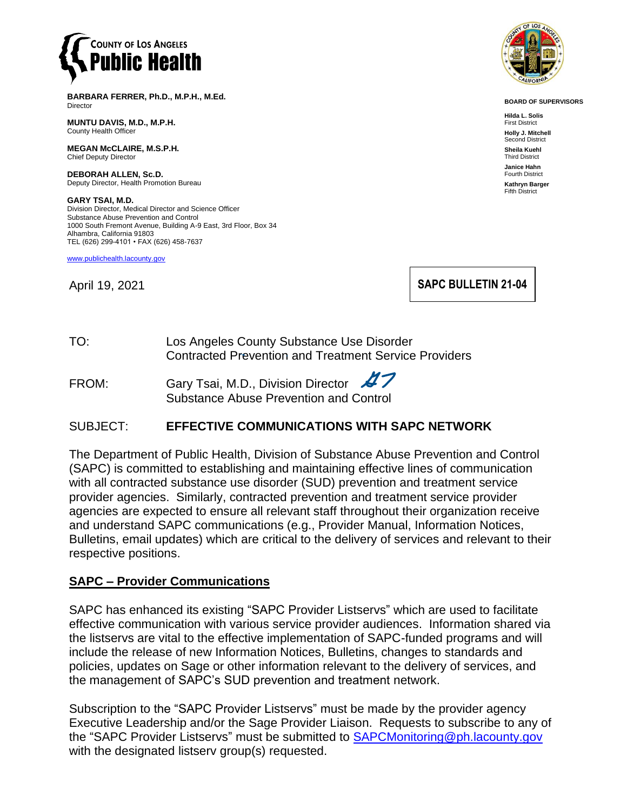

**BARBARA FERRER, Ph.D., M.P.H., M.Ed.** Director

**MUNTU DAVIS, M.D., M.P.H.** County Health Officer

**MEGAN McCLAIRE, M.S.P.H.** Chief Deputy Director

**DEBORAH ALLEN, Sc.D.** Deputy Director, Health Promotion Bureau

**GARY TSAI, M.D.** Division Director, Medical Director and Science Officer Substance Abuse Prevention and Control 1000 South Fremont Avenue, Building A-9 East, 3rd Floor, Box 34 Alhambra, California 91803 TEL (626) 299-4101 • FAX (626) 458-7637

[www.publichealth.lacounty.gov](http://www.publichealth.lacounty.gov/)

April 19, 2021

**SAPC BULLETIN 21-04**

TO: Los Angeles County Substance Use Disorder Contracted Prevention and Treatment Service Providers

FROM: Gary Tsai, M.D., Division Director 47 Substance Abuse Prevention and Control

## SUBJECT: **EFFECTIVE COMMUNICATIONS WITH SAPC NETWORK**

The Department of Public Health, Division of Substance Abuse Prevention and Control (SAPC) is committed to establishing and maintaining effective lines of communication with all contracted substance use disorder (SUD) prevention and treatment service provider agencies. Similarly, contracted prevention and treatment service provider agencies are expected to ensure all relevant staff throughout their organization receive and understand SAPC communications (e.g., Provider Manual, Information Notices, Bulletins, email updates) which are critical to the delivery of services and relevant to their respective positions.

## **SAPC – Provider Communications**

SAPC has enhanced its existing "SAPC Provider Listservs" which are used to facilitate effective communication with various service provider audiences. Information shared via the listservs are vital to the effective implementation of SAPC-funded programs and will include the release of new Information Notices, Bulletins, changes to standards and policies, updates on Sage or other information relevant to the delivery of services, and the management of SAPC's SUD prevention and treatment network.

Subscription to the "SAPC Provider Listservs" must be made by the provider agency Executive Leadership and/or the Sage Provider Liaison. Requests to subscribe to any of the "SAPC Provider Listservs" must be submitted to [SAPCMonitoring@ph.lacounty.gov](mailto:SAPCMonitoring@ph.lacounty.gov) with the designated listserv group(s) requested.



**BOARD OF SUPERVISORS**

**Hilda L. Solis** First District **Holly J. Mitchell** Second District **Sheila Kuehl** Third District **Janice Hahn** Fourth District **Kathryn Barger** Fifth District